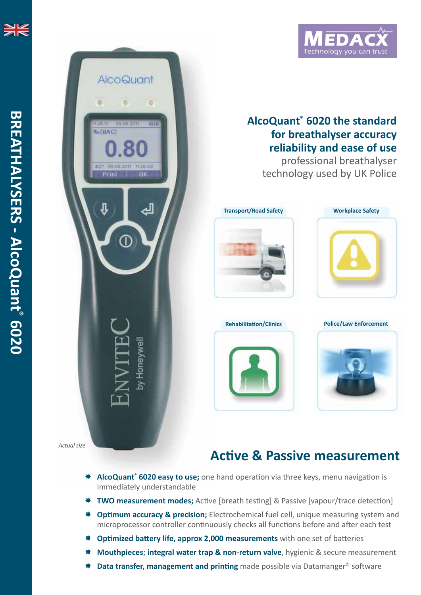

## **AlcoQuant ® 6020 the standard for breathalyser accuracy reliability and ease of use**

professional breathalyser technology used by UK Police









*Actual size*

**AlcoQuant** 

09.08.2011

ø

**Gini** 

Öŀ

by Honeywel

Ó

%(BAC)

Prini

## **Active & Passive measurement**

- \* AlcoQuant<sup>®</sup> 6020 easy to use; one hand operation via three keys, menu navigation is immediately understandable
- **TWO measurement modes;** Active [breath testing] & Passive [vapour/trace detection]
- **Optimum accuracy & precision;** Electrochemical fuel cell, unique measuring system and microprocessor controller continuously checks all functions before and after each test
- **Optimized battery life, approx 2,000 measurements** with one set of batteries
- **Mouthpieces; integral water trap & non-return valve**, hygienic & secure measurement
- $*$  **Data transfer, management and printing** made possible via Datamanger<sup>©</sup> software